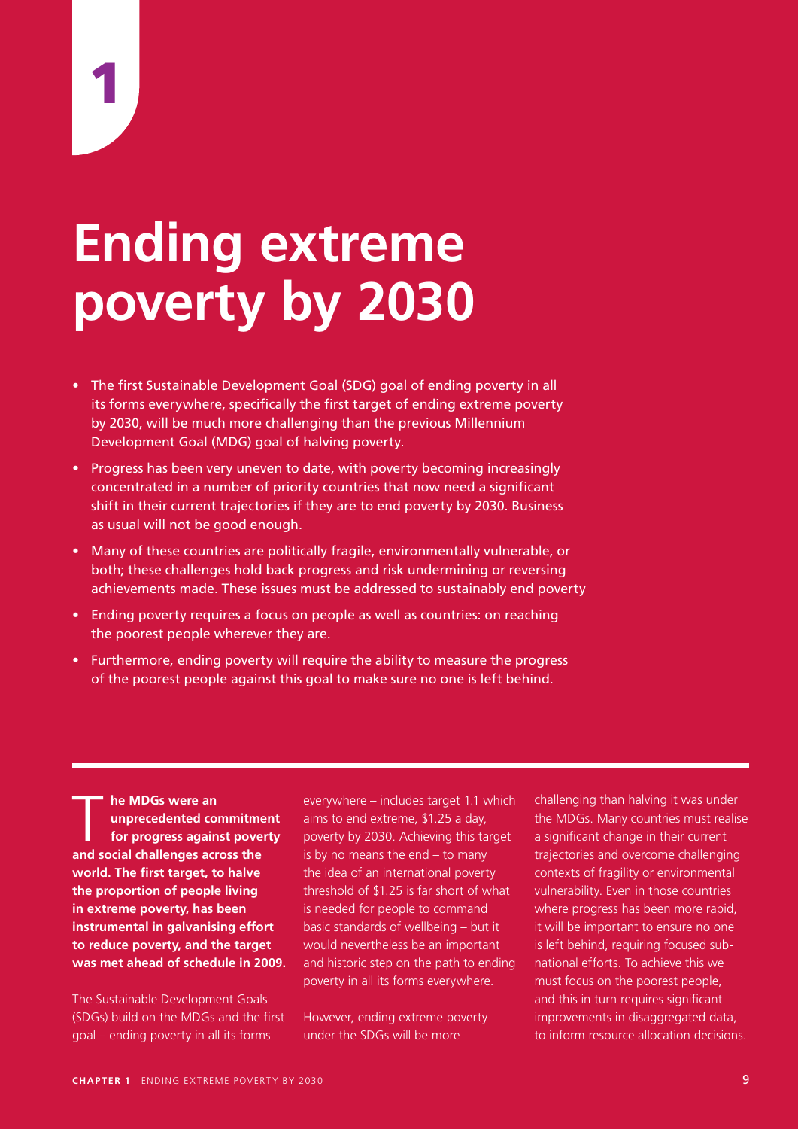# **Ending extreme poverty by 2030**

- The first Sustainable Development Goal (SDG) goal of ending poverty in all its forms everywhere, specifically the first target of ending extreme poverty by 2030, will be much more challenging than the previous Millennium Development Goal (MDG) goal of halving poverty.
- Progress has been very uneven to date, with poverty becoming increasingly concentrated in a number of priority countries that now need a significant shift in their current trajectories if they are to end poverty by 2030. Business as usual will not be good enough.
- Many of these countries are politically fragile, environmentally vulnerable, or both; these challenges hold back progress and risk undermining or reversing achievements made. These issues must be addressed to sustainably end poverty
- Ending poverty requires a focus on people as well as countries: on reaching the poorest people wherever they are.
- Furthermore, ending poverty will require the ability to measure the progress of the poorest people against this goal to make sure no one is left behind.

**he MDGs were an<br>
unprecedented contracts**<br>
for progress again **unprecedented commitment for progress against poverty and social challenges across the world. The first target, to halve the proportion of people living in extreme poverty, has been instrumental in galvanising effort to reduce poverty, and the target was met ahead of schedule in 2009.** 

The Sustainable Development Goals (SDGs) build on the MDGs and the first goal – ending poverty in all its forms

everywhere – includes target 1.1 which aims to end extreme, \$1.25 a day, poverty by 2030. Achieving this target is by no means the end – to many the idea of an international poverty threshold of \$1.25 is far short of what is needed for people to command basic standards of wellbeing – but it would nevertheless be an important and historic step on the path to ending poverty in all its forms everywhere.

However, ending extreme poverty under the SDGs will be more

challenging than halving it was under the MDGs. Many countries must realise a significant change in their current trajectories and overcome challenging contexts of fragility or environmental vulnerability. Even in those countries where progress has been more rapid, it will be important to ensure no one is left behind, requiring focused subnational efforts. To achieve this we must focus on the poorest people, and this in turn requires significant improvements in disaggregated data, to inform resource allocation decisions.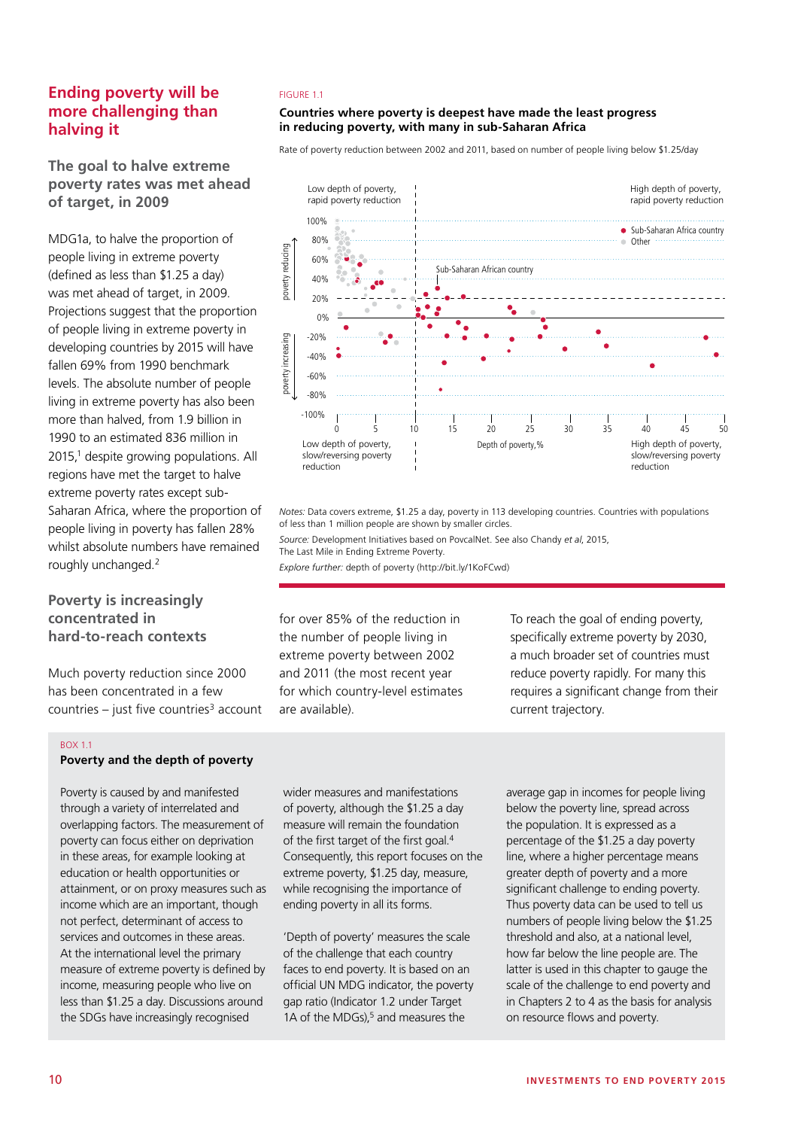# **Ending poverty will be more challenging than halving it**

# **The goal to halve extreme poverty rates was met ahead of target, in 2009**

MDG1a, to halve the proportion of people living in extreme poverty (defined as less than \$1.25 a day) was met ahead of target, in 2009. Projections suggest that the proportion of people living in extreme poverty in developing countries by 2015 will have fallen 69% from 1990 benchmark levels. The absolute number of people living in extreme poverty has also been more than halved, from 1.9 billion in 1990 to an estimated 836 million in 2015,<sup>1</sup> despite growing populations. All regions have met the target to halve extreme poverty rates except sub-Saharan Africa, where the proportion of people living in poverty has fallen 28% whilst absolute numbers have remained roughly unchanged.2

## **Poverty is increasingly concentrated in hard-to-reach contexts**

Much poverty reduction since 2000 has been concentrated in a few countries – just five countries<sup>3</sup> account

### BOX 1.1 **Poverty and the depth of poverty**

Poverty is caused by and manifested through a variety of interrelated and overlapping factors. The measurement of poverty can focus either on deprivation in these areas, for example looking at education or health opportunities or attainment, or on proxy measures such as income which are an important, though not perfect, determinant of access to services and outcomes in these areas. At the international level the primary measure of extreme poverty is defined by income, measuring people who live on less than \$1.25 a day. Discussions around the SDGs have increasingly recognised

## **living belowthe extreme poverty line** FIGURE 1.1

## **Countries where poverty is deepest have made the least progress in reducing poverty, with many in sub-Saharan Africa**

Rate of poverty reduction between 2002 and 2011, based on number of people living below \$1.25/day



*Notes:* Data covers extreme, \$1.25 a day, poverty in 113 developing countries. Countries with populations of less than 1 million people are shown by smaller circles.

*Source:* Development Initiatives based on PovcalNet. See also Chandy *et al*, 2015, The Last Mile in Ending Extreme Poverty.

*Explore further:* depth of poverty (http://bit.ly/1KoFCwd)

for over 85% of the reduction in the number of people living in extreme poverty between 2002 and 2011 (the most recent year for which country-level estimates are available).

To reach the goal of ending poverty, specifically extreme poverty by 2030, a much broader set of countries must reduce poverty rapidly. For many this requires a significant change from their current trajectory.

wider measures and manifestations of poverty, although the \$1.25 a day measure will remain the foundation of the first target of the first goal.<sup>4</sup> Consequently, this report focuses on the extreme poverty, \$1.25 day, measure, while recognising the importance of ending poverty in all its forms.

'Depth of poverty' measures the scale of the challenge that each country faces to end poverty. It is based on an official UN MDG indicator, the poverty gap ratio (Indicator 1.2 under Target 1A of the MDGs), $5$  and measures the

average gap in incomes for people living below the poverty line, spread across the population. It is expressed as a percentage of the \$1.25 a day poverty line, where a higher percentage means greater depth of poverty and a more significant challenge to ending poverty. Thus poverty data can be used to tell us numbers of people living below the \$1.25 threshold and also, at a national level, how far below the line people are. The latter is used in this chapter to gauge the scale of the challenge to end poverty and in Chapters 2 to 4 as the basis for analysis on resource flows and poverty.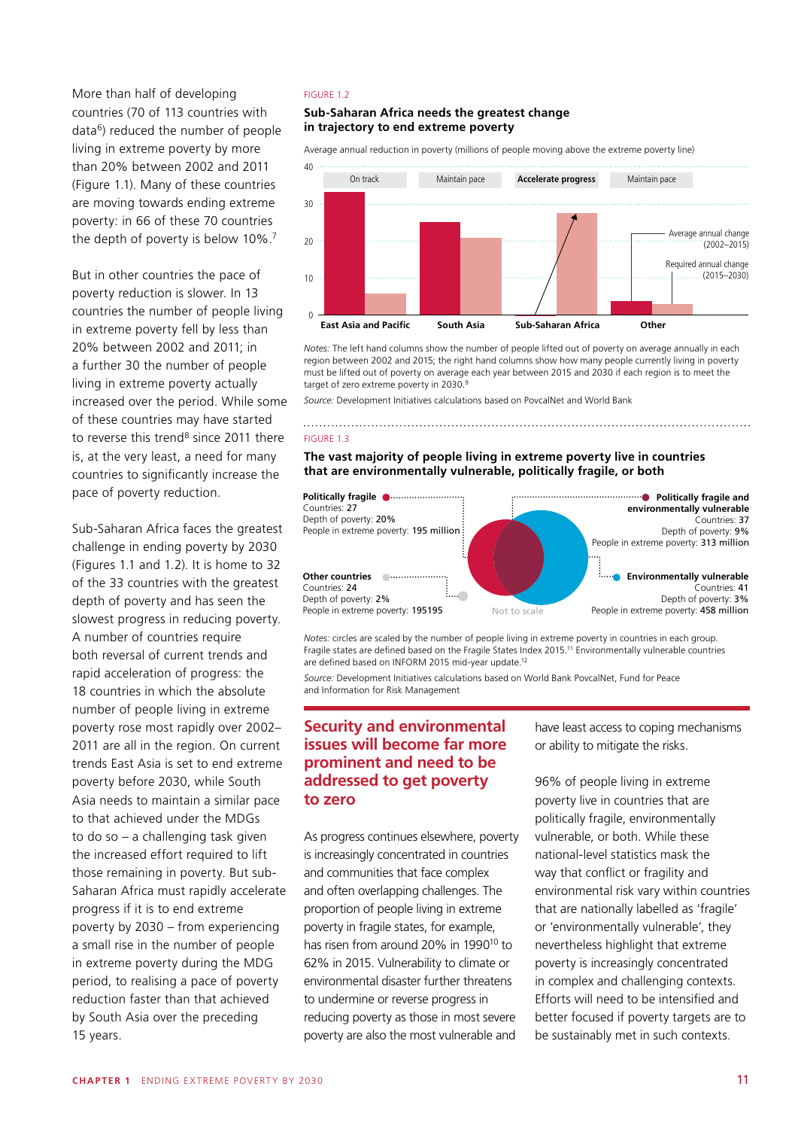More than half of developing countries (70 of 113 countries with data6) reduced the number of people living in extreme poverty by more than 20% between 2002 and 2011 (Figure 1.1). Many of these countries are moving towards ending extreme poverty: in 66 of these 70 countries the depth of poverty is below 10%.7

But in other countries the pace of poverty reduction is slower. In 13 countries the number of people living in extreme poverty fell by less than 20% between 2002 and 2011; in a further 30 the number of people living in extreme poverty actually increased over the period. While some of these countries may have started to reverse this trend $8$  since 2011 there is, at the very least, a need for many countries to significantly increase the pace of poverty reduction.

Sub-Saharan Africa faces the greatest challenge in ending poverty by 2030 (Figures 1.1 and 1.2). It is home to 32 of the 33 countries with the greatest depth of poverty and has seen the slowest progress in reducing poverty. A number of countries require both reversal of current trends and rapid acceleration of progress: the 18 countries in which the absolute number of people living in extreme poverty rose most rapidly over 2002– 2011 are all in the region. On current trends East Asia is set to end extreme poverty before 2030, while South Asia needs to maintain a similar pace to that achieved under the MDGs to do so – a challenging task given the increased effort required to lift those remaining in poverty. But sub-Saharan Africa must rapidly accelerate progress if it is to end extreme poverty by 2030 – from experiencing a small rise in the number of people in extreme poverty during the MDG period, to realising a pace of poverty reduction faster than that achieved by South Asia over the preceding 15 years.

## FIGURE 1.2

## **Sub-Saharan Africa needs the greatest change in trajectory to end extreme poverty**

Average annual reduction in poverty (millions of people moving above the extreme poverty line)



*Notes:* The left hand columns show the number of people lifted out of poverty on average annually in each region between 2002 and 2015; the right hand columns show how many people currently living in poverty must be lifted out of poverty on average each year between 2015 and 2030 if each region is to meet the target of zero extreme poverty in 2030.9

*Source:* Development Initiatives calculations based on PovcalNet and World Bank

#### FIGURE 1.3

**The vast majority of people living in extreme poverty live in countries that are environmentally vulnerable, politically fragile, or both**



*Notes:* circles are scaled by the number of people living in extreme poverty in countries in each group. Fragile states are defined based on the Fragile States Index 2015.11 Environmentally vulnerable countries are defined based on INFORM 2015 mid-year update.<sup>12</sup>

*Source:* Development Initiatives calculations based on World Bank PovcalNet, Fund for Peace and Information for Risk Management

## **Security and environmental** lawe least access to coping mechanisms **issues will become far more** or ability to mitigate the risks. prominent and need to be **addressed to get poverty to zero Security and environmental** have least access to coping mechanisms

As progress continues elsewhere, poverty is increasingly concentrated in countries and communities that face complex and often overlapping challenges. The proportion of people living in extreme poverty in fragile states, for example, has risen from around 20% in 1990<sup>10</sup> to 62% in 2015. Vulnerability to climate or environmental disaster further threatens to undermine or reverse progress in reducing poverty as those in most severe poverty are also the most vulnerable and

or ability to mitigate the risks.

96% of people living in extreme **Power of Source: Development Initiative Contries that are poverty live in countries that are** politically fragile, environmentally vulnerable, or both. While these national-level statistics mask the way that conflict or fragility and environmental risk vary within countries that are nationally labelled as 'fragile' or 'environmentally vulnerable', they nevertheless highlight that extreme poverty is increasingly concentrated in complex and challenging contexts. Efforts will need to be intensified and better focused if poverty targets are to be sustainably met in such contexts.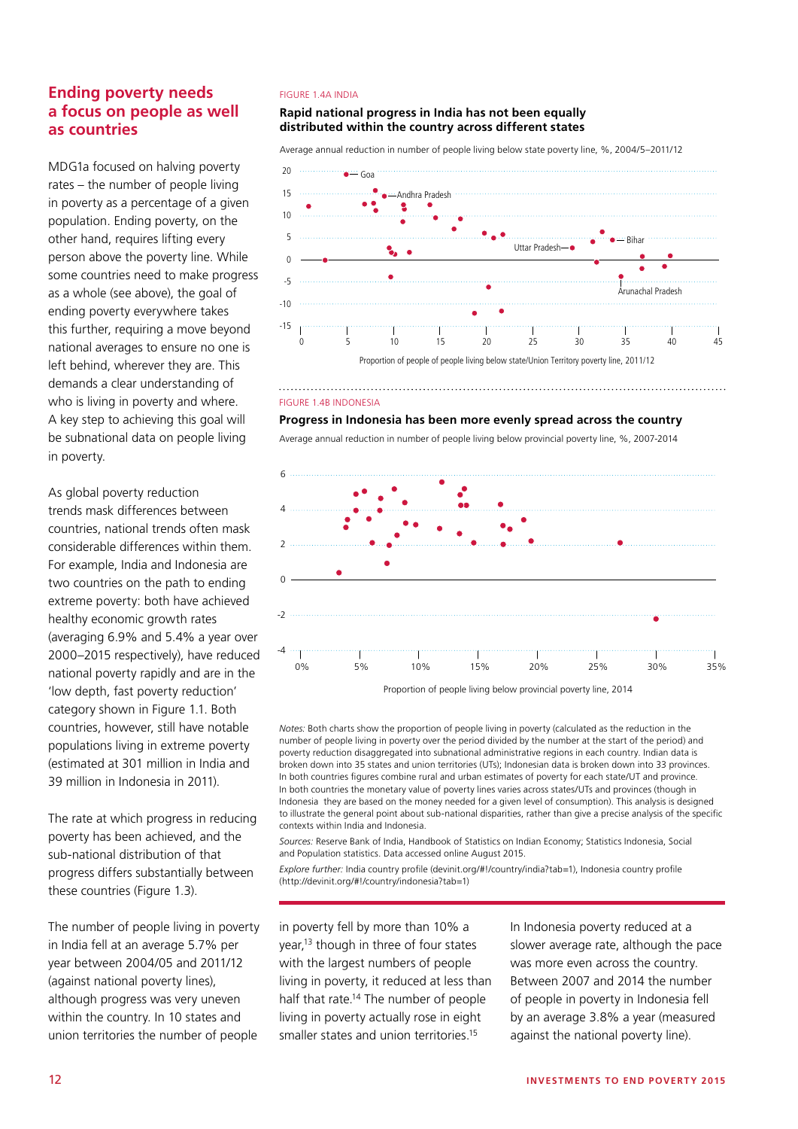# **Ending poverty needs a focus on people as well as countries**

MDG1a focused on halving poverty rates – the number of people living in poverty as a percentage of a given population. Ending poverty, on the other hand, requires lifting every person above the poverty line. While some countries need to make progress as a whole (see above), the goal of ending poverty everywhere takes this further, requiring a move beyond national averages to ensure no one is left behind, wherever they are. This demands a clear understanding of who is living in poverty and where. A key step to achieving this goal will be subnational data on people living in poverty.

As global poverty reduction trends mask differences between countries, national trends often mask considerable differences within them. For example, India and Indonesia are two countries on the path to ending extreme poverty: both have achieved healthy economic growth rates (averaging 6.9% and 5.4% a year over 2000–2015 respectively), have reduced national poverty rapidly and are in the 'low depth, fast poverty reduction' category shown in Figure 1.1. Both countries, however, still have notable populations living in extreme poverty (estimated at 301 million in India and 39 million in Indonesia in 2011).

The rate at which progress in reducing poverty has been achieved, and the sub-national distribution of that progress differs substantially between these countries (Figure 1.3).

The number of people living in poverty in India fell at an average 5.7% per year between 2004/05 and 2011/12 (against national poverty lines), although progress was very uneven within the country. In 10 states and union territories the number of people

# 20 **provincial poverty line, 2004/5−2011/12**  FIGURE 1.4A INDIA

## distributed within the country across different states 15 **Rapid national progress in India has not been equally**

5 Average annual reduction in number of people living below state poverty line, %, 2004/5–2011/12



#### **Average annual reduction in number of people living**  FIGURE 1.4B INDONESIA

**Progress in Indonesia has been more evenly spread across the country** 

Average annual reduction in number of people living below provincial poverty line, %, 2007-2014



Proportion of people living below provincial poverty line, 2014

*Notes:* Both charts show the proportion of people living in poverty (calculated as the reduction in the number of people living in poverty over the period divided by the number at the start of the period) and poverty reduction disaggregated into subnational administrative regions in each country. Indian data is broken down into 35 states and union territories (UTs); Indonesian data is broken down into 33 provinces. In both countries figures combine rural and urban estimates of poverty for each state/UT and province. In both countries the monetary value of poverty lines varies across states/UTs and provinces (though in Indonesia they are based on the money needed for a given level of consumption). This analysis is designed to illustrate the general point about sub-national disparities, rather than give a precise analysis of the specific contexts within India and Indonesia.

*Sources:* Reserve Bank of India, Handbook of Statistics on Indian Economy; Statistics Indonesia, Social and Population statistics. Data accessed online August 2015.

*Explore further:* India country profile (devinit.org/#!/country/india?tab=1), Indonesia country profile (http://devinit.org/#!/country/indonesia?tab=1)

in poverty fell by more than 10% a year.<sup>13</sup> though in three of four states with the largest numbers of people living in poverty, it reduced at less than half that rate.<sup>14</sup> The number of people living in poverty actually rose in eight smaller states and union territories.<sup>15</sup>

In Indonesia poverty reduced at a slower average rate, although the pace was more even across the country. Between 2007 and 2014 the number of people in poverty in Indonesia fell by an average 3.8% a year (measured against the national poverty line).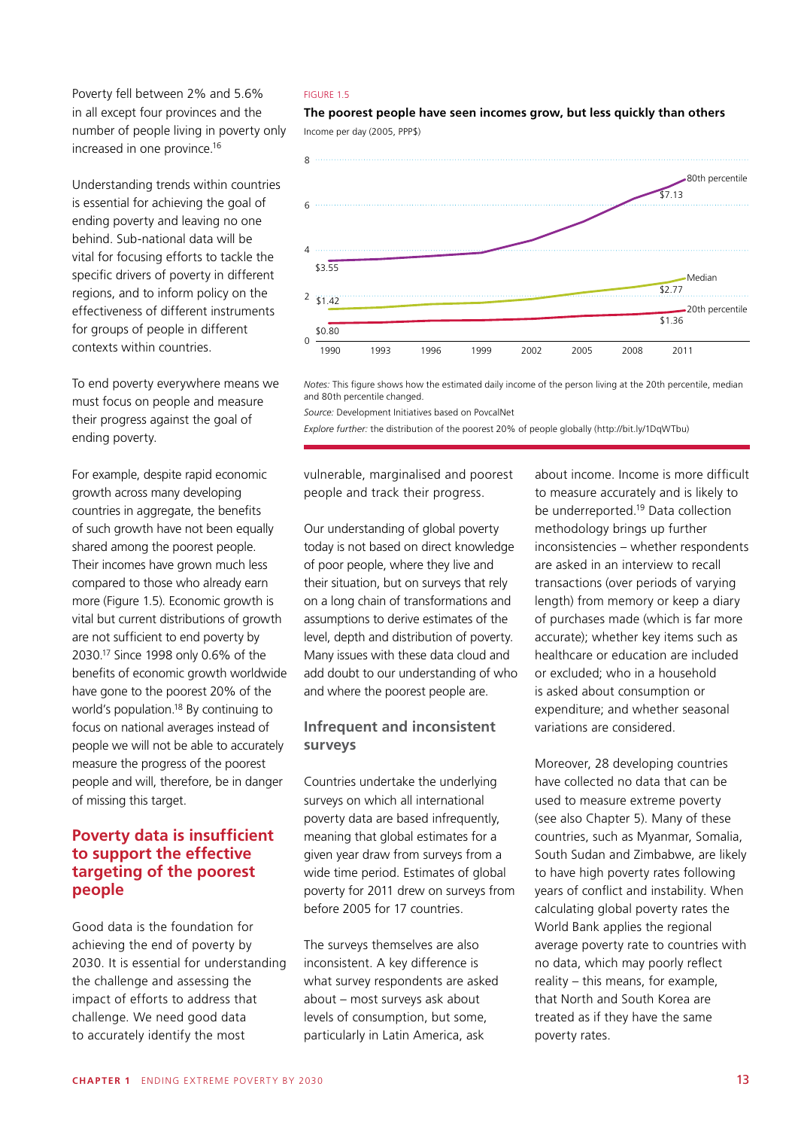Poverty fell between 2% and 5.6% in all except four provinces and the number of people living in poverty only increased in one province.16

Understanding trends within countries is essential for achieving the goal of ending poverty and leaving no one behind. Sub-national data will be vital for focusing efforts to tackle the specific drivers of poverty in different regions, and to inform policy on the effectiveness of different instruments for groups of people in different contexts within countries.

To end poverty everywhere means we must focus on people and measure their progress against the goal of ending poverty.

For example, despite rapid economic growth across many developing countries in aggregate, the benefits of such growth have not been equally shared among the poorest people. Their incomes have grown much less compared to those who already earn more (Figure 1.5). Economic growth is vital but current distributions of growth are not sufficient to end poverty by 2030.17 Since 1998 only 0.6% of the benefits of economic growth worldwide have gone to the poorest 20% of the world's population.18 By continuing to focus on national averages instead of people we will not be able to accurately measure the progress of the poorest people and will, therefore, be in danger of missing this target.

# **Poverty data is insufficient to support the effective targeting of the poorest people**

Good data is the foundation for achieving the end of poverty by 2030. It is essential for understanding the challenge and assessing the impact of efforts to address that challenge. We need good data to accurately identify the most

### FIGURE 1.5

Income per day (2005 PPP\$) Income per day (2005, PPP\$) **The poorest people have seen incomes grow, but less quickly than others**



*Notes:* This figure shows how the estimated daily income of the person living at the 20th percentile, median and 80th percentile changed.

Source: Development Initiatives based on PovcalNet **beach person and 80th percentile changed.** The 20th person and 80th percentile changed. The 20th percentile changed. The 20th percentile changed. The 20th percentile chan

*Explore further:* the distribution of the poorest 20% of people globally (http://bit.ly/1DqWTbu)

vulnerable, marginalised and poorest people and track their progress.

Our understanding of global poverty today is not based on direct knowledge of poor people, where they live and their situation, but on surveys that rely on a long chain of transformations and assumptions to derive estimates of the level, depth and distribution of poverty. Many issues with these data cloud and add doubt to our understanding of who and where the poorest people are.

## **Infrequent and inconsistent surveys**

Countries undertake the underlying surveys on which all international poverty data are based infrequently. meaning that global estimates for a given year draw from surveys from a wide time period. Estimates of global poverty for 2011 drew on surveys from before 2005 for 17 countries.

The surveys themselves are also inconsistent. A key difference is what survey respondents are asked about – most surveys ask about levels of consumption, but some, particularly in Latin America, ask

about income. Income is more difficult to measure accurately and is likely to be underreported.19 Data collection methodology brings up further inconsistencies – whether respondents are asked in an interview to recall transactions (over periods of varying length) from memory or keep a diary of purchases made (which is far more accurate); whether key items such as healthcare or education are included or excluded; who in a household is asked about consumption or expenditure; and whether seasonal variations are considered.

Moreover, 28 developing countries have collected no data that can be used to measure extreme poverty (see also Chapter 5). Many of these countries, such as Myanmar, Somalia, South Sudan and Zimbabwe, are likely to have high poverty rates following years of conflict and instability. When calculating global poverty rates the World Bank applies the regional average poverty rate to countries with no data, which may poorly reflect reality – this means, for example, that North and South Korea are treated as if they have the same poverty rates.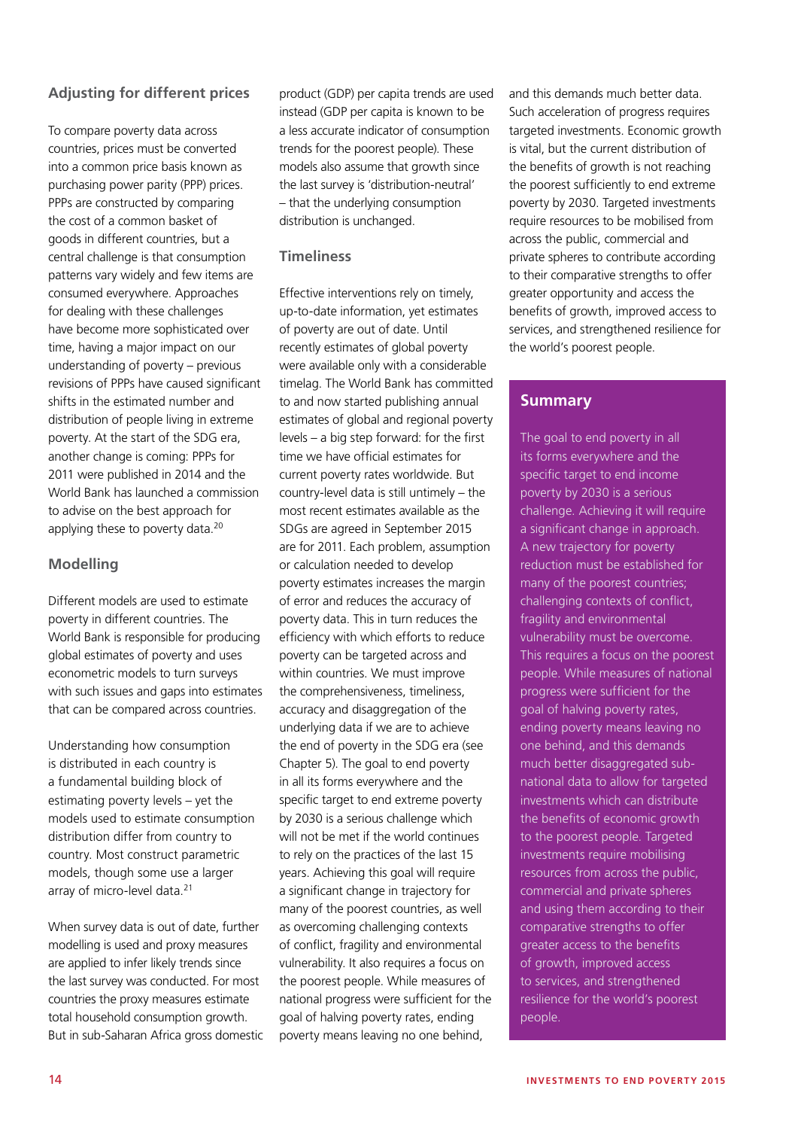# **Adjusting for different prices**

To compare poverty data across countries, prices must be converted into a common price basis known as purchasing power parity (PPP) prices. PPPs are constructed by comparing the cost of a common basket of goods in different countries, but a central challenge is that consumption patterns vary widely and few items are consumed everywhere. Approaches for dealing with these challenges have become more sophisticated over time, having a major impact on our understanding of poverty – previous revisions of PPPs have caused significant shifts in the estimated number and distribution of people living in extreme poverty. At the start of the SDG era, another change is coming: PPPs for 2011 were published in 2014 and the World Bank has launched a commission to advise on the best approach for applying these to poverty data.<sup>20</sup>

## **Modelling**

Different models are used to estimate poverty in different countries. The World Bank is responsible for producing global estimates of poverty and uses econometric models to turn surveys with such issues and gaps into estimates that can be compared across countries.

Understanding how consumption is distributed in each country is a fundamental building block of estimating poverty levels – yet the models used to estimate consumption distribution differ from country to country. Most construct parametric models, though some use a larger array of micro-level data.<sup>21</sup>

When survey data is out of date, further modelling is used and proxy measures are applied to infer likely trends since the last survey was conducted. For most countries the proxy measures estimate total household consumption growth. But in sub-Saharan Africa gross domestic product (GDP) per capita trends are used instead (GDP per capita is known to be a less accurate indicator of consumption trends for the poorest people). These models also assume that growth since the last survey is 'distribution-neutral' – that the underlying consumption distribution is unchanged.

## **Timeliness**

Effective interventions rely on timely, up-to-date information, yet estimates of poverty are out of date. Until recently estimates of global poverty were available only with a considerable timelag. The World Bank has committed to and now started publishing annual estimates of global and regional poverty levels – a big step forward: for the first time we have official estimates for current poverty rates worldwide. But country-level data is still untimely – the most recent estimates available as the SDGs are agreed in September 2015 are for 2011. Each problem, assumption or calculation needed to develop poverty estimates increases the margin of error and reduces the accuracy of poverty data. This in turn reduces the efficiency with which efforts to reduce poverty can be targeted across and within countries. We must improve the comprehensiveness, timeliness, accuracy and disaggregation of the underlying data if we are to achieve the end of poverty in the SDG era (see Chapter 5). The goal to end poverty in all its forms everywhere and the specific target to end extreme poverty by 2030 is a serious challenge which will not be met if the world continues to rely on the practices of the last 15 years. Achieving this goal will require a significant change in trajectory for many of the poorest countries, as well as overcoming challenging contexts of conflict, fragility and environmental vulnerability. It also requires a focus on the poorest people. While measures of national progress were sufficient for the goal of halving poverty rates, ending poverty means leaving no one behind,

and this demands much better data. Such acceleration of progress requires targeted investments. Economic growth is vital, but the current distribution of the benefits of growth is not reaching the poorest sufficiently to end extreme poverty by 2030. Targeted investments require resources to be mobilised from across the public, commercial and private spheres to contribute according to their comparative strengths to offer greater opportunity and access the benefits of growth, improved access to services, and strengthened resilience for the world's poorest people.

# **Summary**

The goal to end poverty in all its forms everywhere and the specific target to end income poverty by 2030 is a serious challenge. Achieving it will require a significant change in approach. A new trajectory for poverty reduction must be established for many of the poorest countries; challenging contexts of conflict, fragility and environmental vulnerability must be overcome. This requires a focus on the poorest people. While measures of national progress were sufficient for the goal of halving poverty rates, ending poverty means leaving no one behind, and this demands much better disaggregated subnational data to allow for targeted investments which can distribute the benefits of economic growth to the poorest people. Targeted investments require mobilising resources from across the public, commercial and private spheres and using them according to their comparative strengths to offer greater access to the benefits of growth, improved access to services, and strengthened resilience for the world's poorest people.